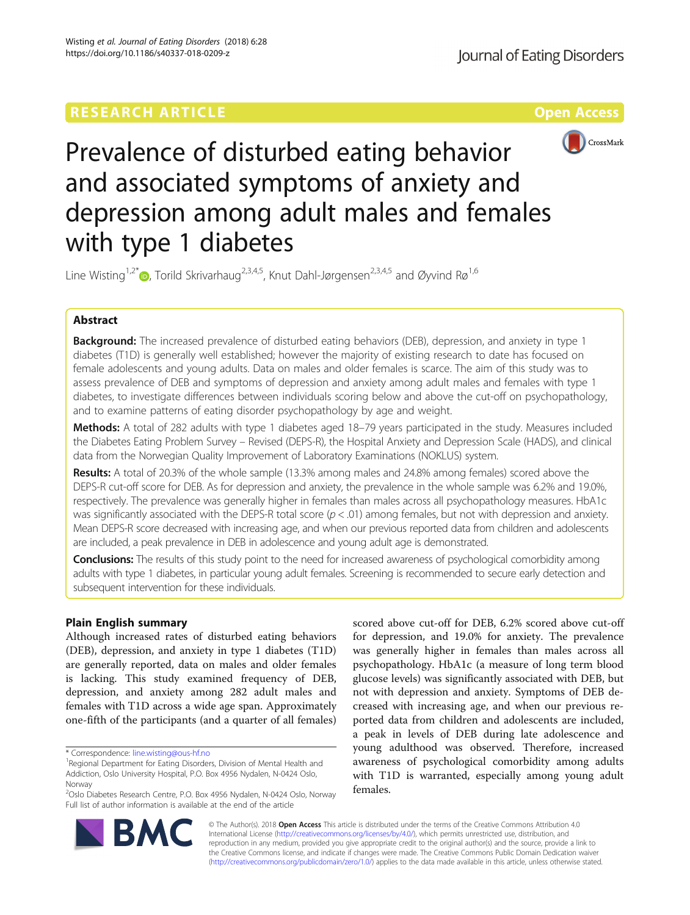# **RESEARCH ARTICLE EXECUTE: Open Access**



Prevalence of disturbed eating behavior and associated symptoms of anxiety and depression among adult males and females with type 1 diabetes

Line Wisting<sup>1[,](http://orcid.org/0000-0002-5424-7290)2\*</sup> <sub>(b)</sub> Torild Skrivarhaug<sup>2,3,4,5</sup>, Knut Dahl-Jørgensen<sup>2,3,4,5</sup> and Øyvind Rø<sup>1,6</sup>

## Abstract

Background: The increased prevalence of disturbed eating behaviors (DEB), depression, and anxiety in type 1 diabetes (T1D) is generally well established; however the majority of existing research to date has focused on female adolescents and young adults. Data on males and older females is scarce. The aim of this study was to assess prevalence of DEB and symptoms of depression and anxiety among adult males and females with type 1 diabetes, to investigate differences between individuals scoring below and above the cut-off on psychopathology, and to examine patterns of eating disorder psychopathology by age and weight.

Methods: A total of 282 adults with type 1 diabetes aged 18-79 years participated in the study. Measures included the Diabetes Eating Problem Survey – Revised (DEPS-R), the Hospital Anxiety and Depression Scale (HADS), and clinical data from the Norwegian Quality Improvement of Laboratory Examinations (NOKLUS) system.

Results: A total of 20.3% of the whole sample (13.3% among males and 24.8% among females) scored above the DEPS-R cut-off score for DEB. As for depression and anxiety, the prevalence in the whole sample was 6.2% and 19.0%, respectively. The prevalence was generally higher in females than males across all psychopathology measures. HbA1c was significantly associated with the DEPS-R total score ( $p < .01$ ) among females, but not with depression and anxiety. Mean DEPS-R score decreased with increasing age, and when our previous reported data from children and adolescents are included, a peak prevalence in DEB in adolescence and young adult age is demonstrated.

**Conclusions:** The results of this study point to the need for increased awareness of psychological comorbidity among adults with type 1 diabetes, in particular young adult females. Screening is recommended to secure early detection and subsequent intervention for these individuals.

## Plain English summary

Although increased rates of disturbed eating behaviors (DEB), depression, and anxiety in type 1 diabetes (T1D) are generally reported, data on males and older females is lacking. This study examined frequency of DEB, depression, and anxiety among 282 adult males and females with T1D across a wide age span. Approximately one-fifth of the participants (and a quarter of all females)

scored above cut-off for DEB, 6.2% scored above cut-off for depression, and 19.0% for anxiety. The prevalence was generally higher in females than males across all psychopathology. HbA1c (a measure of long term blood glucose levels) was significantly associated with DEB, but not with depression and anxiety. Symptoms of DEB decreased with increasing age, and when our previous reported data from children and adolescents are included, a peak in levels of DEB during late adolescence and young adulthood was observed. Therefore, increased awareness of psychological comorbidity among adults with T1D is warranted, especially among young adult females.



© The Author(s). 2018 Open Access This article is distributed under the terms of the Creative Commons Attribution 4.0 International License [\(http://creativecommons.org/licenses/by/4.0/](http://creativecommons.org/licenses/by/4.0/)), which permits unrestricted use, distribution, and reproduction in any medium, provided you give appropriate credit to the original author(s) and the source, provide a link to the Creative Commons license, and indicate if changes were made. The Creative Commons Public Domain Dedication waiver [\(http://creativecommons.org/publicdomain/zero/1.0/](http://creativecommons.org/publicdomain/zero/1.0/)) applies to the data made available in this article, unless otherwise stated.

<sup>\*</sup> Correspondence: [line.wisting@ous-hf.no](mailto:line.wisting@ous-hf.no) <sup>1</sup>

<sup>&</sup>lt;sup>1</sup> Regional Department for Eating Disorders, Division of Mental Health and Addiction, Oslo University Hospital, P.O. Box 4956 Nydalen, N-0424 Oslo, Norway

<sup>&</sup>lt;sup>2</sup>Oslo Diabetes Research Centre, P.O. Box 4956 Nydalen, N-0424 Oslo, Norway Full list of author information is available at the end of the article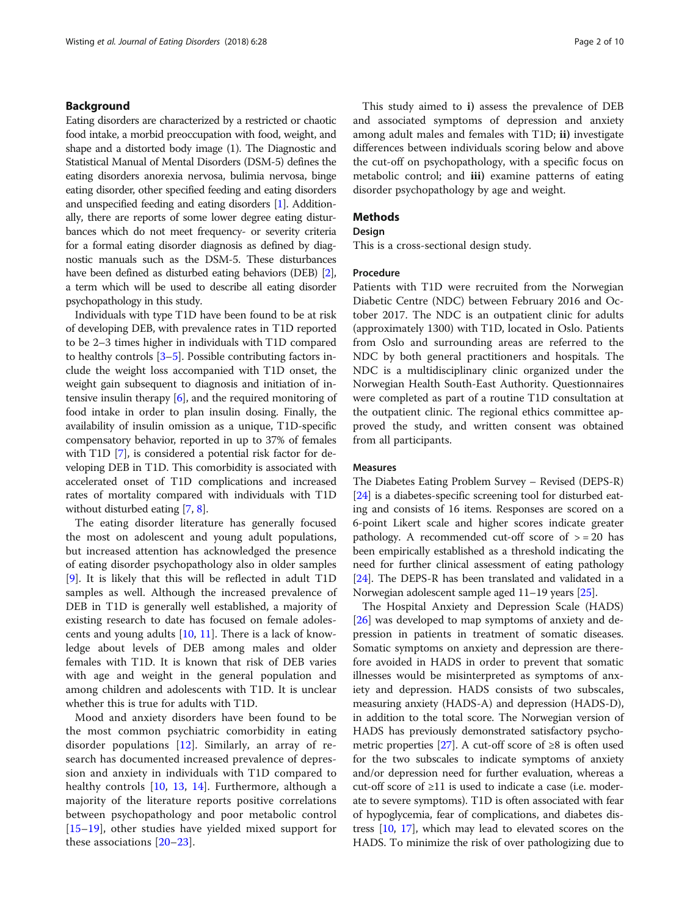## Background

Eating disorders are characterized by a restricted or chaotic food intake, a morbid preoccupation with food, weight, and shape and a distorted body image (1). The Diagnostic and Statistical Manual of Mental Disorders (DSM-5) defines the eating disorders anorexia nervosa, bulimia nervosa, binge eating disorder, other specified feeding and eating disorders and unspecified feeding and eating disorders [\[1](#page-8-0)]. Additionally, there are reports of some lower degree eating disturbances which do not meet frequency- or severity criteria for a formal eating disorder diagnosis as defined by diagnostic manuals such as the DSM-5. These disturbances have been defined as disturbed eating behaviors (DEB) [[2](#page-8-0)], a term which will be used to describe all eating disorder psychopathology in this study.

Individuals with type T1D have been found to be at risk of developing DEB, with prevalence rates in T1D reported to be 2–3 times higher in individuals with T1D compared to healthy controls  $[3-5]$  $[3-5]$  $[3-5]$ . Possible contributing factors include the weight loss accompanied with T1D onset, the weight gain subsequent to diagnosis and initiation of intensive insulin therapy [[6](#page-8-0)], and the required monitoring of food intake in order to plan insulin dosing. Finally, the availability of insulin omission as a unique, T1D-specific compensatory behavior, reported in up to 37% of females with T1D [[7\]](#page-8-0), is considered a potential risk factor for developing DEB in T1D. This comorbidity is associated with accelerated onset of T1D complications and increased rates of mortality compared with individuals with T1D without disturbed eating [\[7](#page-8-0), [8\]](#page-8-0).

The eating disorder literature has generally focused the most on adolescent and young adult populations, but increased attention has acknowledged the presence of eating disorder psychopathology also in older samples [[9\]](#page-8-0). It is likely that this will be reflected in adult T1D samples as well. Although the increased prevalence of DEB in T1D is generally well established, a majority of existing research to date has focused on female adolescents and young adults  $[10, 11]$  $[10, 11]$  $[10, 11]$  $[10, 11]$  $[10, 11]$ . There is a lack of knowledge about levels of DEB among males and older females with T1D. It is known that risk of DEB varies with age and weight in the general population and among children and adolescents with T1D. It is unclear whether this is true for adults with T1D.

Mood and anxiety disorders have been found to be the most common psychiatric comorbidity in eating disorder populations [\[12](#page-8-0)]. Similarly, an array of research has documented increased prevalence of depression and anxiety in individuals with T1D compared to healthy controls [[10,](#page-8-0) [13](#page-8-0), [14\]](#page-8-0). Furthermore, although a majority of the literature reports positive correlations between psychopathology and poor metabolic control [[15](#page-8-0)–[19\]](#page-8-0), other studies have yielded mixed support for these associations [[20](#page-8-0)–[23](#page-8-0)].

This study aimed to i) assess the prevalence of DEB and associated symptoms of depression and anxiety among adult males and females with T1D; ii) investigate differences between individuals scoring below and above the cut-off on psychopathology, with a specific focus on metabolic control; and *iii*) examine patterns of eating disorder psychopathology by age and weight.

## Methods

## Design

This is a cross-sectional design study.

#### Procedure

Patients with T1D were recruited from the Norwegian Diabetic Centre (NDC) between February 2016 and October 2017. The NDC is an outpatient clinic for adults (approximately 1300) with T1D, located in Oslo. Patients from Oslo and surrounding areas are referred to the NDC by both general practitioners and hospitals. The NDC is a multidisciplinary clinic organized under the Norwegian Health South-East Authority. Questionnaires were completed as part of a routine T1D consultation at the outpatient clinic. The regional ethics committee approved the study, and written consent was obtained from all participants.

#### Measures

The Diabetes Eating Problem Survey – Revised (DEPS-R) [[24](#page-8-0)] is a diabetes-specific screening tool for disturbed eating and consists of 16 items. Responses are scored on a 6-point Likert scale and higher scores indicate greater pathology. A recommended cut-off score of  $> = 20$  has been empirically established as a threshold indicating the need for further clinical assessment of eating pathology [[24](#page-8-0)]. The DEPS-R has been translated and validated in a Norwegian adolescent sample aged 11–19 years [\[25\]](#page-8-0).

The Hospital Anxiety and Depression Scale (HADS) [[26\]](#page-8-0) was developed to map symptoms of anxiety and depression in patients in treatment of somatic diseases. Somatic symptoms on anxiety and depression are therefore avoided in HADS in order to prevent that somatic illnesses would be misinterpreted as symptoms of anxiety and depression. HADS consists of two subscales, measuring anxiety (HADS-A) and depression (HADS-D), in addition to the total score. The Norwegian version of HADS has previously demonstrated satisfactory psycho-metric properties [\[27](#page-8-0)]. A cut-off score of  $\geq 8$  is often used for the two subscales to indicate symptoms of anxiety and/or depression need for further evaluation, whereas a cut-off score of ≥11 is used to indicate a case (i.e. moderate to severe symptoms). T1D is often associated with fear of hypoglycemia, fear of complications, and diabetes distress [\[10,](#page-8-0) [17\]](#page-8-0), which may lead to elevated scores on the HADS. To minimize the risk of over pathologizing due to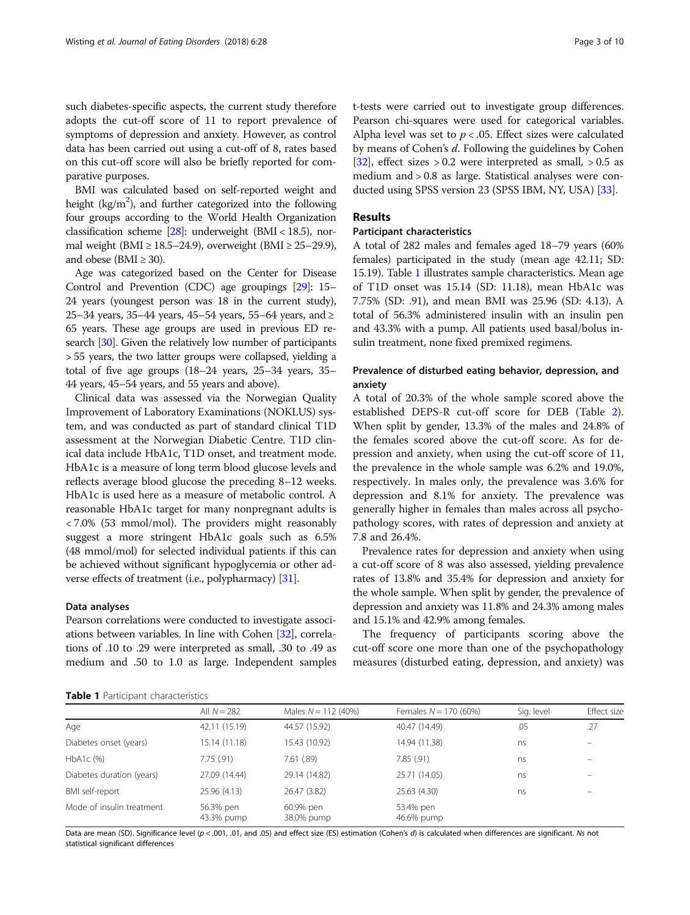such diabetes-specific aspects, the current study therefore adopts the cut-off score of 11 to report prevalence of symptoms of depression and anxiety. However, as control data has been carried out using a cut-off of 8, rates based on this cut-off score will also be briefly reported for comparative purposes.

BMI was calculated based on self-reported weight and height (kg/m<sup>2</sup>), and further categorized into the following four groups according to the World Health Organization classification scheme [\[28](#page-8-0)]: underweight (BMI < 18.5), normal weight (BMI ≥ 18.5–24.9), overweight (BMI ≥ 25–29.9), and obese ( $BMI \geq 30$ ).

Age was categorized based on the Center for Disease Control and Prevention (CDC) age groupings [[29](#page-8-0)]: 15– 24 years (youngest person was 18 in the current study), 25–34 years, 35–44 years, 45–54 years, 55–64 years, and ≥ 65 years. These age groups are used in previous ED research [\[30\]](#page-8-0). Given the relatively low number of participants > 55 years, the two latter groups were collapsed, yielding a total of five age groups (18–24 years, 25–34 years, 35– 44 years, 45–54 years, and 55 years and above).

Clinical data was assessed via the Norwegian Quality Improvement of Laboratory Examinations (NOKLUS) system, and was conducted as part of standard clinical T1D assessment at the Norwegian Diabetic Centre. T1D clinical data include HbA1c, T1D onset, and treatment mode. HbA1c is a measure of long term blood glucose levels and reflects average blood glucose the preceding 8–12 weeks. HbA1c is used here as a measure of metabolic control. A reasonable HbA1c target for many nonpregnant adults is < 7.0% (53 mmol/mol). The providers might reasonably suggest a more stringent HbA1c goals such as 6.5% (48 mmol/mol) for selected individual patients if this can be achieved without significant hypoglycemia or other adverse effects of treatment (i.e., polypharmacy) [[31](#page-8-0)].

#### Data analyses

Pearson correlations were conducted to investigate associations between variables. In line with Cohen [[32](#page-8-0)], correlations of .10 to .29 were interpreted as small, .30 to .49 as medium and .50 to 1.0 as large. Independent samples t-tests were carried out to investigate group differences. Pearson chi-squares were used for categorical variables. Alpha level was set to  $p < .05$ . Effect sizes were calculated by means of Cohen's d. Following the guidelines by Cohen [[32](#page-8-0)], effect sizes  $> 0.2$  were interpreted as small,  $> 0.5$  as medium and > 0.8 as large. Statistical analyses were conducted using SPSS version 23 (SPSS IBM, NY, USA) [[33](#page-8-0)].

## Results

## Participant characteristics

A total of 282 males and females aged 18–79 years (60% females) participated in the study (mean age 42.11; SD: 15.19). Table 1 illustrates sample characteristics. Mean age of T1D onset was 15.14 (SD: 11.18), mean HbA1c was 7.75% (SD: .91), and mean BMI was 25.96 (SD: 4.13). A total of 56.3% administered insulin with an insulin pen and 43.3% with a pump. All patients used basal/bolus insulin treatment, none fixed premixed regimens.

## Prevalence of disturbed eating behavior, depression, and anxiety

A total of 20.3% of the whole sample scored above the established DEPS-R cut-off score for DEB (Table [2](#page-3-0)). When split by gender, 13.3% of the males and 24.8% of the females scored above the cut-off score. As for depression and anxiety, when using the cut-off score of 11, the prevalence in the whole sample was 6.2% and 19.0%, respectively. In males only, the prevalence was 3.6% for depression and 8.1% for anxiety. The prevalence was generally higher in females than males across all psychopathology scores, with rates of depression and anxiety at 7.8 and 26.4%.

Prevalence rates for depression and anxiety when using a cut-off score of 8 was also assessed, yielding prevalence rates of 13.8% and 35.4% for depression and anxiety for the whole sample. When split by gender, the prevalence of depression and anxiety was 11.8% and 24.3% among males and 15.1% and 42.9% among females.

The frequency of participants scoring above the cut-off score one more than one of the psychopathology measures (disturbed eating, depression, and anxiety) was

|                           | All $N = 282$           | Males $N = 112$ (40%)   | Females $N = 170 (60%)$ | Sig. level | Effect size |  |  |  |  |
|---------------------------|-------------------------|-------------------------|-------------------------|------------|-------------|--|--|--|--|
| Age                       | 42.11 (15.19)           | 44.57 (15.92)           | 40.47 (14.49)           | .05        | .27         |  |  |  |  |
| Diabetes onset (years)    | 15.14 (11.18)           | 15.43 (10.92)           | 14.94 (11.38)           | ns.        |             |  |  |  |  |
| HbA1c (%)                 | 7.75(.91)               | 7.61(.89)               | 7.85(.91)               | ns.        |             |  |  |  |  |
| Diabetes duration (years) | 27.09 (14.44)           | 29.14 (14.82)           | 25.71 (14.05)           | ns.        |             |  |  |  |  |
| BMI self-report           | 25.96 (4.13)            | 26.47 (3.82)            | 25.63 (4.30)            | ns.        |             |  |  |  |  |
| Mode of insulin treatment | 56.3% pen<br>43.3% pump | 60.9% pen<br>38.0% pump | 53.4% pen<br>46.6% pump |            |             |  |  |  |  |

Data are mean (SD). Significance level (p < .001, .01, and .05) and effect size (ES) estimation (Cohen's d) is calculated when differences are significant. Ns not statistical significant differences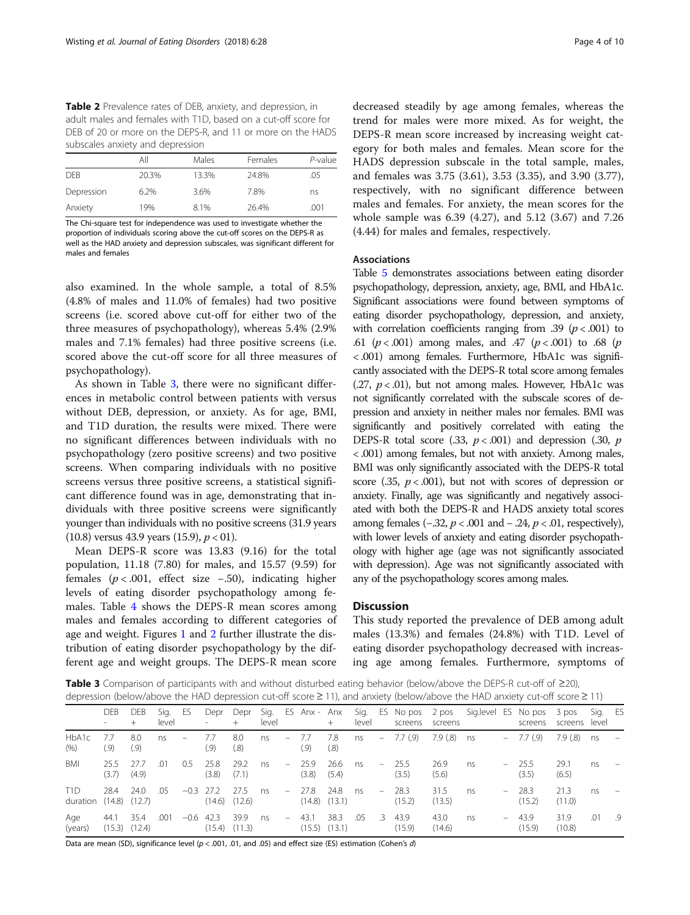<span id="page-3-0"></span>Table 2 Prevalence rates of DEB, anxiety, and depression, in adult males and females with T1D, based on a cut-off score for DEB of 20 or more on the DEPS-R, and 11 or more on the HADS subscales anxiety and depression

|            | All   | Males | Females | P-value |
|------------|-------|-------|---------|---------|
| <b>DEB</b> | 20.3% | 13.3% | 24.8%   | .05     |
| Depression | 6.2%  | 3.6%  | 7.8%    | ns      |
| Anxiety    | 19%   | 8.1%  | 26.4%   | .001    |

The Chi-square test for independence was used to investigate whether the proportion of individuals scoring above the cut-off scores on the DEPS-R as well as the HAD anxiety and depression subscales, was significant different for males and females

also examined. In the whole sample, a total of 8.5% (4.8% of males and 11.0% of females) had two positive screens (i.e. scored above cut-off for either two of the three measures of psychopathology), whereas 5.4% (2.9% males and 7.1% females) had three positive screens (i.e. scored above the cut-off score for all three measures of psychopathology).

As shown in Table 3, there were no significant differences in metabolic control between patients with versus without DEB, depression, or anxiety. As for age, BMI, and T1D duration, the results were mixed. There were no significant differences between individuals with no psychopathology (zero positive screens) and two positive screens. When comparing individuals with no positive screens versus three positive screens, a statistical significant difference found was in age, demonstrating that individuals with three positive screens were significantly younger than individuals with no positive screens (31.9 years (10.8) versus 43.9 years (15.9),  $p < 01$ ).

Mean DEPS-R score was 13.83 (9.16) for the total population, 11.18 (7.80) for males, and 15.57 (9.59) for females ( $p < .001$ , effect size -.50), indicating higher levels of eating disorder psychopathology among females. Table [4](#page-4-0) shows the DEPS-R mean scores among males and females according to different categories of age and weight. Figures [1](#page-4-0) and [2](#page-5-0) further illustrate the distribution of eating disorder psychopathology by the different age and weight groups. The DEPS-R mean score

decreased steadily by age among females, whereas the trend for males were more mixed. As for weight, the DEPS-R mean score increased by increasing weight category for both males and females. Mean score for the HADS depression subscale in the total sample, males, and females was 3.75 (3.61), 3.53 (3.35), and 3.90 (3.77), respectively, with no significant difference between males and females. For anxiety, the mean scores for the whole sample was 6.39 (4.27), and 5.12 (3.67) and 7.26 (4.44) for males and females, respectively.

## Associations

Table [5](#page-5-0) demonstrates associations between eating disorder psychopathology, depression, anxiety, age, BMI, and HbA1c. Significant associations were found between symptoms of eating disorder psychopathology, depression, and anxiety, with correlation coefficients ranging from .39 ( $p < .001$ ) to .61 ( $p < .001$ ) among males, and .47 ( $p < .001$ ) to .68 ( $p$ ) < .001) among females. Furthermore, HbA1c was significantly associated with the DEPS-R total score among females  $(0.27, p < 0.01)$ , but not among males. However, HbA1c was not significantly correlated with the subscale scores of depression and anxiety in neither males nor females. BMI was significantly and positively correlated with eating the DEPS-R total score (.33,  $p < .001$ ) and depression (.30,  $p$ ) < .001) among females, but not with anxiety. Among males, BMI was only significantly associated with the DEPS-R total score (.35,  $p < .001$ ), but not with scores of depression or anxiety. Finally, age was significantly and negatively associated with both the DEPS-R and HADS anxiety total scores among females  $(-.32, p < .001$  and  $- .24, p < .01$ , respectively), with lower levels of anxiety and eating disorder psychopathology with higher age (age was not significantly associated with depression). Age was not significantly associated with any of the psychopathology scores among males.

#### **Discussion**

This study reported the prevalence of DEB among adult males (13.3%) and females (24.8%) with T1D. Level of eating disorder psychopathology decreased with increasing age among females. Furthermore, symptoms of

Table 3 Comparison of participants with and without disturbed eating behavior (below/above the DEPS-R cut-off of ≥20), depression (below/above the HAD depression cut-off score ≥ 11), and anxiety (below/above the HAD anxiety cut-off score ≥ 11)

|                  | <b>DEB</b><br>$\overline{\phantom{a}}$ | <b>DEB</b>                | Sig. ES<br>level |                          | $\overline{\phantom{0}}$ | Depr Depr<br>$^+$         | level |                          |                | $^{+}$                    | level |                          | Sig. ES Anx - Anx Sig. ES No pos 2 pos Sig. level ES No pos 3 pos<br>screens | screens        |    |                          | screens        | screens level  | Sig. ES    |     |
|------------------|----------------------------------------|---------------------------|------------------|--------------------------|--------------------------|---------------------------|-------|--------------------------|----------------|---------------------------|-------|--------------------------|------------------------------------------------------------------------------|----------------|----|--------------------------|----------------|----------------|------------|-----|
| HbA1c<br>(% )    | 7.7<br>(0.9)                           | 8.0<br>(0.9)              | ns               | $\overline{\phantom{m}}$ | 7.7<br>(0.9)             | 8.0<br>(0.8)              | ns    |                          | $-7.7$<br>(.9) | 7.8<br>(.8)               | ns    |                          | $-7.7(9)$                                                                    | 7.9 (.8) ns    |    |                          | $-7.7(9)$      | 7.9 (.8) ns    |            |     |
| BMI              | 25.5<br>(3.7)                          | 27.7<br>(4.9)             | 01               | 0.5                      | 25.8<br>(3.8)            | 29.2<br>(7.1)             | ns    | $\overline{\phantom{m}}$ | 25.9<br>(3.8)  | 26.6<br>(5.4)             | ns    | $\overline{\phantom{m}}$ | -25.5<br>(3.5)                                                               | 26.9<br>(5.6)  | ns | $\overline{\phantom{m}}$ | 25.5<br>(3.5)  | 29.1<br>(6.5)  | ns         |     |
| T1D.<br>duration | 28.4<br>$(14.8)$ $(12.7)$              | 24.0                      | .05              | $-0.3$                   | - 27.2                   | 27.5<br>$(14.6)$ $(12.6)$ | ns    | $\sim$                   | 27.8           | 24.8<br>$(14.8)$ $(13.1)$ | ns    | $\overline{\phantom{m}}$ | -28.3<br>(15.2)                                                              | 31.5<br>(13.5) | ns | $\equiv$                 | 28.3<br>(15.2) | 21.3<br>(11.0) | ns.        |     |
| Age<br>(years)   | 44.1                                   | 35.4<br>$(15.3)$ $(12.4)$ | .001             | $-0.6$                   | 42.3                     | 39.9<br>$(15.4)$ $(11.3)$ | ns    | $\sim$                   | 43.1           | 38.3<br>$(15.5)$ $(13.1)$ | .05   | -3                       | 43.9<br>(15.9)                                                               | 43.0<br>(14.6) | ns | $-$                      | 43.9<br>(15.9) | 31.9<br>(10.8) | $\Omega$ 1 | - 9 |

Data are mean (SD), significance level ( $p < .001$ , .01, and .05) and effect size (ES) estimation (Cohen's d)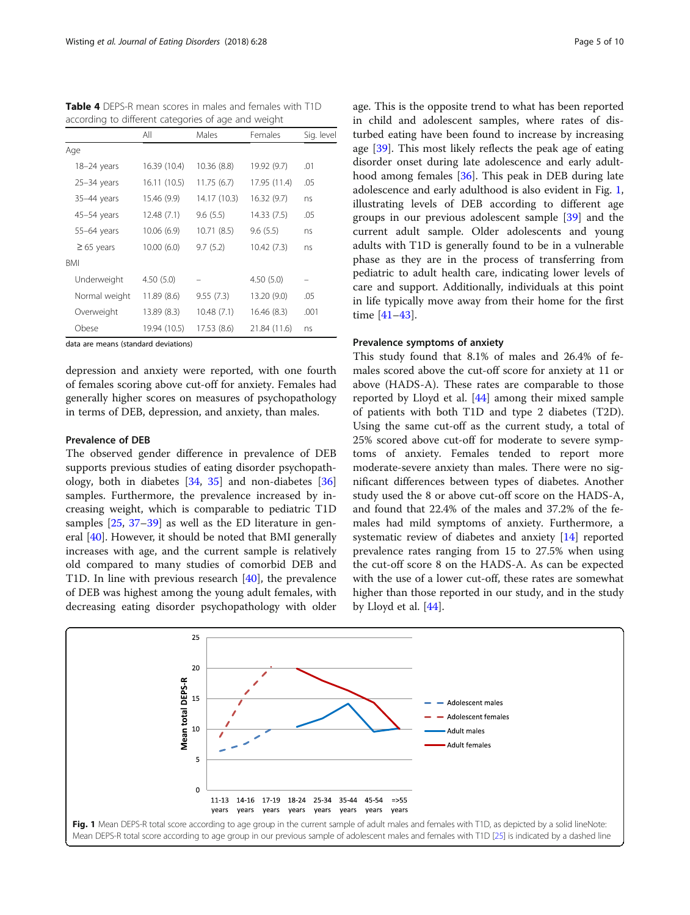<span id="page-4-0"></span>Table 4 DEPS-R mean scores in males and females with T1D according to different categories of age and weight

|                 | All          | Males        | Females      | Sig. level |
|-----------------|--------------|--------------|--------------|------------|
| Age             |              |              |              |            |
| 18-24 years     | 16.39 (10.4) | 10.36 (8.8)  | 19.92 (9.7)  | .01        |
| $25 - 34$ years | 16.11 (10.5) | 11.75(6.7)   | 17.95 (11.4) | .05        |
| $35-44$ years   | 15.46 (9.9)  | 14.17 (10.3) | 16.32 (9.7)  | ns         |
| 45-54 years     | 12.48(7.1)   | 9.6(5.5)     | 14.33 (7.5)  | .05        |
| 55-64 years     | 10.06(6.9)   | 10.71(8.5)   | 9.6(5.5)     | ns         |
| $\geq 65$ years | 10.00(6.0)   | 9.7(5.2)     | 10.42(7.3)   | ns         |
| <b>BMI</b>      |              |              |              |            |
| Underweight     | 4.50(5.0)    |              | 4.50(5.0)    |            |
| Normal weight   | 11.89 (8.6)  | 9.55(7.3)    | 13.20 (9.0)  | .05        |
| Overweight      | 13.89 (8.3)  | 10.48 (7.1)  | 16.46 (8.3)  | .001       |
| Obese           | 19.94 (10.5) | 17.53 (8.6)  | 21.84 (11.6) | ns         |
|                 |              |              |              |            |

data are means (standard deviations)

depression and anxiety were reported, with one fourth of females scoring above cut-off for anxiety. Females had generally higher scores on measures of psychopathology in terms of DEB, depression, and anxiety, than males.

#### Prevalence of DEB

The observed gender difference in prevalence of DEB supports previous studies of eating disorder psychopathology, both in diabetes [[34,](#page-8-0) [35](#page-8-0)] and non-diabetes [[36](#page-8-0)] samples. Furthermore, the prevalence increased by increasing weight, which is comparable to pediatric T1D samples [[25,](#page-8-0) [37](#page-8-0)–[39\]](#page-8-0) as well as the ED literature in general [[40\]](#page-8-0). However, it should be noted that BMI generally increases with age, and the current sample is relatively old compared to many studies of comorbid DEB and T1D. In line with previous research [\[40\]](#page-8-0), the prevalence of DEB was highest among the young adult females, with decreasing eating disorder psychopathology with older

age. This is the opposite trend to what has been reported in child and adolescent samples, where rates of disturbed eating have been found to increase by increasing age [[39\]](#page-8-0). This most likely reflects the peak age of eating disorder onset during late adolescence and early adulthood among females [[36](#page-8-0)]. This peak in DEB during late adolescence and early adulthood is also evident in Fig. 1, illustrating levels of DEB according to different age groups in our previous adolescent sample [\[39](#page-8-0)] and the current adult sample. Older adolescents and young adults with T1D is generally found to be in a vulnerable phase as they are in the process of transferring from pediatric to adult health care, indicating lower levels of care and support. Additionally, individuals at this point in life typically move away from their home for the first time [\[41](#page-8-0)–[43\]](#page-8-0).

### Prevalence symptoms of anxiety

This study found that 8.1% of males and 26.4% of females scored above the cut-off score for anxiety at 11 or above (HADS-A). These rates are comparable to those reported by Lloyd et al. [\[44](#page-8-0)] among their mixed sample of patients with both T1D and type 2 diabetes (T2D). Using the same cut-off as the current study, a total of 25% scored above cut-off for moderate to severe symptoms of anxiety. Females tended to report more moderate-severe anxiety than males. There were no significant differences between types of diabetes. Another study used the 8 or above cut-off score on the HADS-A, and found that 22.4% of the males and 37.2% of the females had mild symptoms of anxiety. Furthermore, a systematic review of diabetes and anxiety [[14](#page-8-0)] reported prevalence rates ranging from 15 to 27.5% when using the cut-off score 8 on the HADS-A. As can be expected with the use of a lower cut-off, these rates are somewhat higher than those reported in our study, and in the study by Lloyd et al.  $[44]$  $[44]$  $[44]$ .

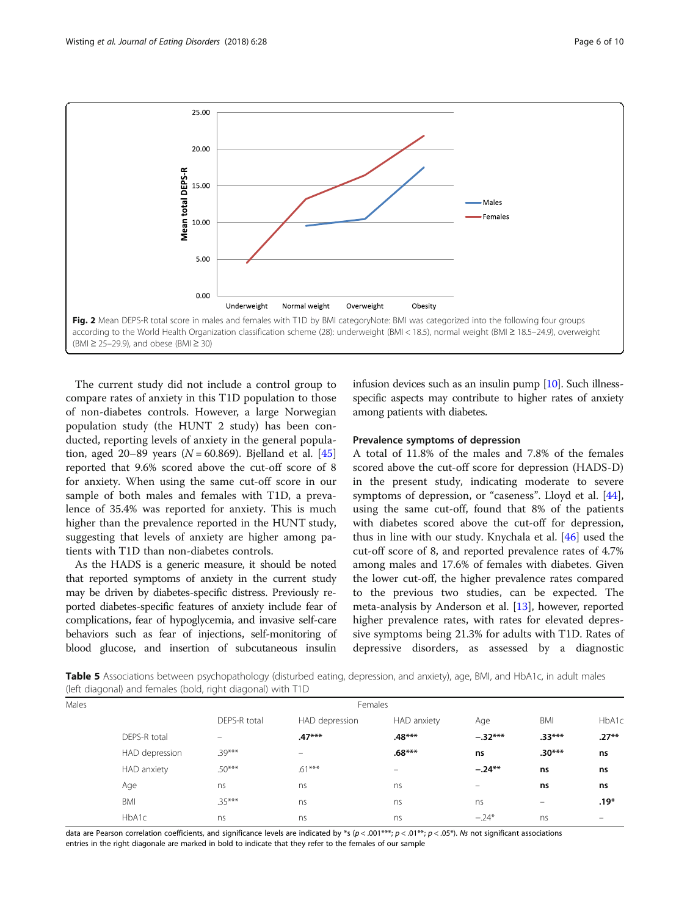<span id="page-5-0"></span>

The current study did not include a control group to compare rates of anxiety in this T1D population to those of non-diabetes controls. However, a large Norwegian population study (the HUNT 2 study) has been conducted, reporting levels of anxiety in the general population, aged 20–89 years ( $N = 60.869$ ). Bjelland et al. [[45](#page-8-0)] reported that 9.6% scored above the cut-off score of 8 for anxiety. When using the same cut-off score in our sample of both males and females with T1D, a prevalence of 35.4% was reported for anxiety. This is much higher than the prevalence reported in the HUNT study, suggesting that levels of anxiety are higher among patients with T1D than non-diabetes controls.

As the HADS is a generic measure, it should be noted that reported symptoms of anxiety in the current study may be driven by diabetes-specific distress. Previously reported diabetes-specific features of anxiety include fear of complications, fear of hypoglycemia, and invasive self-care behaviors such as fear of injections, self-monitoring of blood glucose, and insertion of subcutaneous insulin

infusion devices such as an insulin pump [\[10](#page-8-0)]. Such illnessspecific aspects may contribute to higher rates of anxiety among patients with diabetes.

## Prevalence symptoms of depression

A total of 11.8% of the males and 7.8% of the females scored above the cut-off score for depression (HADS-D) in the present study, indicating moderate to severe symptoms of depression, or "caseness". Lloyd et al. [\[44](#page-8-0)], using the same cut-off, found that 8% of the patients with diabetes scored above the cut-off for depression, thus in line with our study. Knychala et al. [[46](#page-8-0)] used the cut-off score of 8, and reported prevalence rates of 4.7% among males and 17.6% of females with diabetes. Given the lower cut-off, the higher prevalence rates compared to the previous two studies, can be expected. The meta-analysis by Anderson et al. [[13\]](#page-8-0), however, reported higher prevalence rates, with rates for elevated depressive symptoms being 21.3% for adults with T1D. Rates of depressive disorders, as assessed by a diagnostic

Table 5 Associations between psychopathology (disturbed eating, depression, and anxiety), age, BMI, and HbA1c, in adult males (left diagonal) and females (bold, right diagonal) with T1D

| Males |                | Females                  |                |                   |                            |                 |                          |  |  |  |  |
|-------|----------------|--------------------------|----------------|-------------------|----------------------------|-----------------|--------------------------|--|--|--|--|
|       |                | DEPS-R total             | HAD depression | HAD anxiety       | Age                        | BMI             | HbA1c                    |  |  |  |  |
|       | DEPS-R total   | $\overline{\phantom{m}}$ | $.47***$       | .48***            | $-.32***$                  | $.33***$        | $.27**$                  |  |  |  |  |
|       | HAD depression | $.39***$                 | $-$            | $.68***$          | ns                         | $.30***$        | ns                       |  |  |  |  |
|       | HAD anxiety    | $.50***$                 | $.61***$       | $\qquad \qquad -$ | $-.24**$                   | ns              | ns                       |  |  |  |  |
|       | Age            | ns                       | ns             | ns                | $\qquad \qquad \  \  \, -$ | ns              | ns                       |  |  |  |  |
|       | BMI            | $.35***$                 | ns             | ns                | ns                         | $\qquad \qquad$ | $.19*$                   |  |  |  |  |
|       | HbA1c          | ns                       | ns.            | ns                | $-.24*$                    | ns              | $\overline{\phantom{0}}$ |  |  |  |  |

data are Pearson correlation coefficients, and significance levels are indicated by \*s (p < .001\*\*\*; p < .01\*\*\*; p < .05\*). Ns not significant associations entries in the right diagonale are marked in bold to indicate that they refer to the females of our sample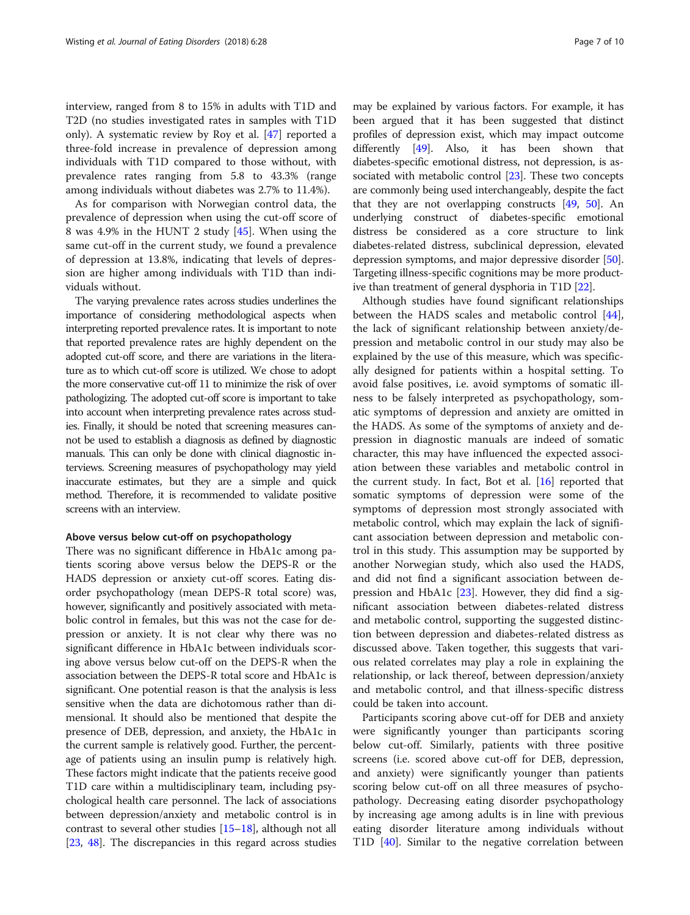interview, ranged from 8 to 15% in adults with T1D and T2D (no studies investigated rates in samples with T1D only). A systematic review by Roy et al. [[47](#page-9-0)] reported a three-fold increase in prevalence of depression among individuals with T1D compared to those without, with prevalence rates ranging from 5.8 to 43.3% (range among individuals without diabetes was 2.7% to 11.4%).

As for comparison with Norwegian control data, the prevalence of depression when using the cut-off score of 8 was 4.9% in the HUNT 2 study [[45\]](#page-8-0). When using the same cut-off in the current study, we found a prevalence of depression at 13.8%, indicating that levels of depression are higher among individuals with T1D than individuals without.

The varying prevalence rates across studies underlines the importance of considering methodological aspects when interpreting reported prevalence rates. It is important to note that reported prevalence rates are highly dependent on the adopted cut-off score, and there are variations in the literature as to which cut-off score is utilized. We chose to adopt the more conservative cut-off 11 to minimize the risk of over pathologizing. The adopted cut-off score is important to take into account when interpreting prevalence rates across studies. Finally, it should be noted that screening measures cannot be used to establish a diagnosis as defined by diagnostic manuals. This can only be done with clinical diagnostic interviews. Screening measures of psychopathology may yield inaccurate estimates, but they are a simple and quick method. Therefore, it is recommended to validate positive screens with an interview.

## Above versus below cut-off on psychopathology

There was no significant difference in HbA1c among patients scoring above versus below the DEPS-R or the HADS depression or anxiety cut-off scores. Eating disorder psychopathology (mean DEPS-R total score) was, however, significantly and positively associated with metabolic control in females, but this was not the case for depression or anxiety. It is not clear why there was no significant difference in HbA1c between individuals scoring above versus below cut-off on the DEPS-R when the association between the DEPS-R total score and HbA1c is significant. One potential reason is that the analysis is less sensitive when the data are dichotomous rather than dimensional. It should also be mentioned that despite the presence of DEB, depression, and anxiety, the HbA1c in the current sample is relatively good. Further, the percentage of patients using an insulin pump is relatively high. These factors might indicate that the patients receive good T1D care within a multidisciplinary team, including psychological health care personnel. The lack of associations between depression/anxiety and metabolic control is in contrast to several other studies [[15](#page-8-0)–[18\]](#page-8-0), although not all [[23](#page-8-0), [48](#page-9-0)]. The discrepancies in this regard across studies may be explained by various factors. For example, it has been argued that it has been suggested that distinct profiles of depression exist, which may impact outcome differently [\[49\]](#page-9-0). Also, it has been shown that diabetes-specific emotional distress, not depression, is as-sociated with metabolic control [\[23\]](#page-8-0). These two concepts are commonly being used interchangeably, despite the fact that they are not overlapping constructs [\[49](#page-9-0), [50](#page-9-0)]. An underlying construct of diabetes-specific emotional distress be considered as a core structure to link diabetes-related distress, subclinical depression, elevated depression symptoms, and major depressive disorder [[50](#page-9-0)]. Targeting illness-specific cognitions may be more productive than treatment of general dysphoria in T1D [\[22\]](#page-8-0).

Although studies have found significant relationships between the HADS scales and metabolic control [\[44](#page-8-0)], the lack of significant relationship between anxiety/depression and metabolic control in our study may also be explained by the use of this measure, which was specifically designed for patients within a hospital setting. To avoid false positives, i.e. avoid symptoms of somatic illness to be falsely interpreted as psychopathology, somatic symptoms of depression and anxiety are omitted in the HADS. As some of the symptoms of anxiety and depression in diagnostic manuals are indeed of somatic character, this may have influenced the expected association between these variables and metabolic control in the current study. In fact, Bot et al. [[16\]](#page-8-0) reported that somatic symptoms of depression were some of the symptoms of depression most strongly associated with metabolic control, which may explain the lack of significant association between depression and metabolic control in this study. This assumption may be supported by another Norwegian study, which also used the HADS, and did not find a significant association between depression and HbA1c [\[23\]](#page-8-0). However, they did find a significant association between diabetes-related distress and metabolic control, supporting the suggested distinction between depression and diabetes-related distress as discussed above. Taken together, this suggests that various related correlates may play a role in explaining the relationship, or lack thereof, between depression/anxiety and metabolic control, and that illness-specific distress could be taken into account.

Participants scoring above cut-off for DEB and anxiety were significantly younger than participants scoring below cut-off. Similarly, patients with three positive screens (i.e. scored above cut-off for DEB, depression, and anxiety) were significantly younger than patients scoring below cut-off on all three measures of psychopathology. Decreasing eating disorder psychopathology by increasing age among adults is in line with previous eating disorder literature among individuals without T1D [\[40](#page-8-0)]. Similar to the negative correlation between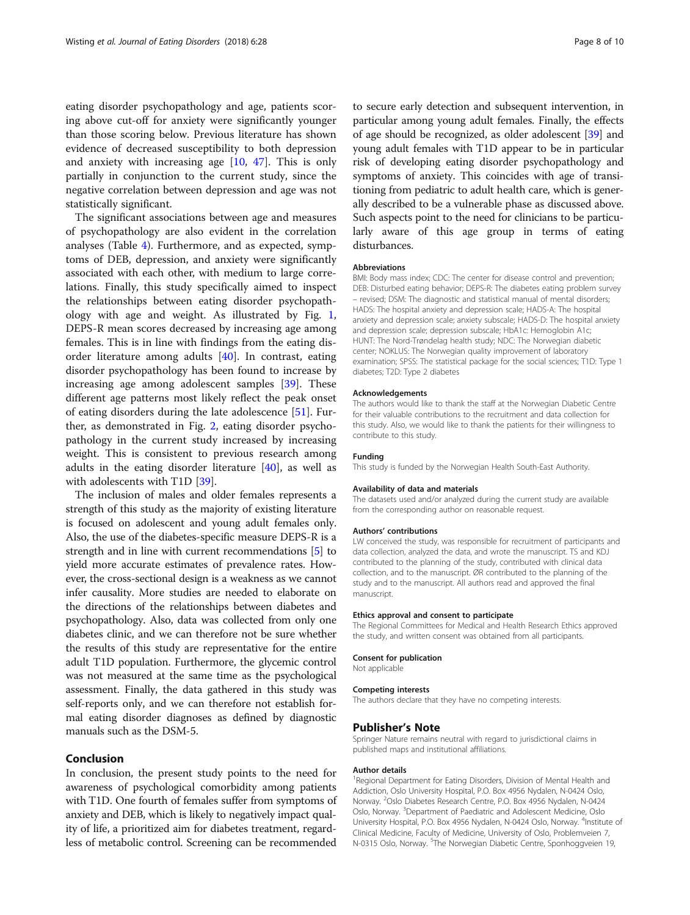eating disorder psychopathology and age, patients scoring above cut-off for anxiety were significantly younger than those scoring below. Previous literature has shown evidence of decreased susceptibility to both depression and anxiety with increasing age [[10](#page-8-0), [47](#page-9-0)]. This is only partially in conjunction to the current study, since the negative correlation between depression and age was not statistically significant.

The significant associations between age and measures of psychopathology are also evident in the correlation analyses (Table [4\)](#page-4-0). Furthermore, and as expected, symptoms of DEB, depression, and anxiety were significantly associated with each other, with medium to large correlations. Finally, this study specifically aimed to inspect the relationships between eating disorder psychopathology with age and weight. As illustrated by Fig. [1](#page-4-0), DEPS-R mean scores decreased by increasing age among females. This is in line with findings from the eating disorder literature among adults [[40](#page-8-0)]. In contrast, eating disorder psychopathology has been found to increase by increasing age among adolescent samples [[39](#page-8-0)]. These different age patterns most likely reflect the peak onset of eating disorders during the late adolescence [[51\]](#page-9-0). Further, as demonstrated in Fig. [2](#page-5-0), eating disorder psychopathology in the current study increased by increasing weight. This is consistent to previous research among adults in the eating disorder literature [[40](#page-8-0)], as well as with adolescents with T1D [\[39\]](#page-8-0).

The inclusion of males and older females represents a strength of this study as the majority of existing literature is focused on adolescent and young adult females only. Also, the use of the diabetes-specific measure DEPS-R is a strength and in line with current recommendations [\[5](#page-8-0)] to yield more accurate estimates of prevalence rates. However, the cross-sectional design is a weakness as we cannot infer causality. More studies are needed to elaborate on the directions of the relationships between diabetes and psychopathology. Also, data was collected from only one diabetes clinic, and we can therefore not be sure whether the results of this study are representative for the entire adult T1D population. Furthermore, the glycemic control was not measured at the same time as the psychological assessment. Finally, the data gathered in this study was self-reports only, and we can therefore not establish formal eating disorder diagnoses as defined by diagnostic manuals such as the DSM-5.

## Conclusion

In conclusion, the present study points to the need for awareness of psychological comorbidity among patients with T1D. One fourth of females suffer from symptoms of anxiety and DEB, which is likely to negatively impact quality of life, a prioritized aim for diabetes treatment, regardless of metabolic control. Screening can be recommended

to secure early detection and subsequent intervention, in particular among young adult females. Finally, the effects of age should be recognized, as older adolescent [[39](#page-8-0)] and young adult females with T1D appear to be in particular risk of developing eating disorder psychopathology and symptoms of anxiety. This coincides with age of transitioning from pediatric to adult health care, which is generally described to be a vulnerable phase as discussed above. Such aspects point to the need for clinicians to be particularly aware of this age group in terms of eating disturbances.

#### Abbreviations

BMI: Body mass index; CDC: The center for disease control and prevention; DEB: Disturbed eating behavior; DEPS-R: The diabetes eating problem survey – revised; DSM: The diagnostic and statistical manual of mental disorders; HADS: The hospital anxiety and depression scale; HADS-A: The hospital anxiety and depression scale; anxiety subscale; HADS-D: The hospital anxiety and depression scale; depression subscale; HbA1c: Hemoglobin A1c; HUNT: The Nord-Trøndelag health study; NDC: The Norwegian diabetic center; NOKLUS: The Norwegian quality improvement of laboratory examination; SPSS: The statistical package for the social sciences; T1D: Type 1 diabetes; T2D: Type 2 diabetes

#### Acknowledgements

The authors would like to thank the staff at the Norwegian Diabetic Centre for their valuable contributions to the recruitment and data collection for this study. Also, we would like to thank the patients for their willingness to contribute to this study.

#### Funding

This study is funded by the Norwegian Health South-East Authority.

#### Availability of data and materials

The datasets used and/or analyzed during the current study are available from the corresponding author on reasonable request.

#### Authors' contributions

LW conceived the study, was responsible for recruitment of participants and data collection, analyzed the data, and wrote the manuscript. TS and KDJ contributed to the planning of the study, contributed with clinical data collection, and to the manuscript. ØR contributed to the planning of the study and to the manuscript. All authors read and approved the final manuscript.

#### Ethics approval and consent to participate

The Regional Committees for Medical and Health Research Ethics approved the study, and written consent was obtained from all participants.

#### Consent for publication

Not applicable

#### Competing interests

The authors declare that they have no competing interests.

#### Publisher's Note

Springer Nature remains neutral with regard to jurisdictional claims in published maps and institutional affiliations.

#### Author details

<sup>1</sup> Regional Department for Eating Disorders, Division of Mental Health and Addiction, Oslo University Hospital, P.O. Box 4956 Nydalen, N-0424 Oslo, Norway. <sup>2</sup>Oslo Diabetes Research Centre, P.O. Box 4956 Nydalen, N-0424 Oslo, Norway. <sup>3</sup>Department of Paediatric and Adolescent Medicine, Oslo University Hospital, P.O. Box 4956 Nydalen, N-0424 Oslo, Norway. <sup>4</sup>Institute of Clinical Medicine, Faculty of Medicine, University of Oslo, Problemveien 7, N-0315 Oslo, Norway. <sup>5</sup>The Norwegian Diabetic Centre, Sponhoggveien 19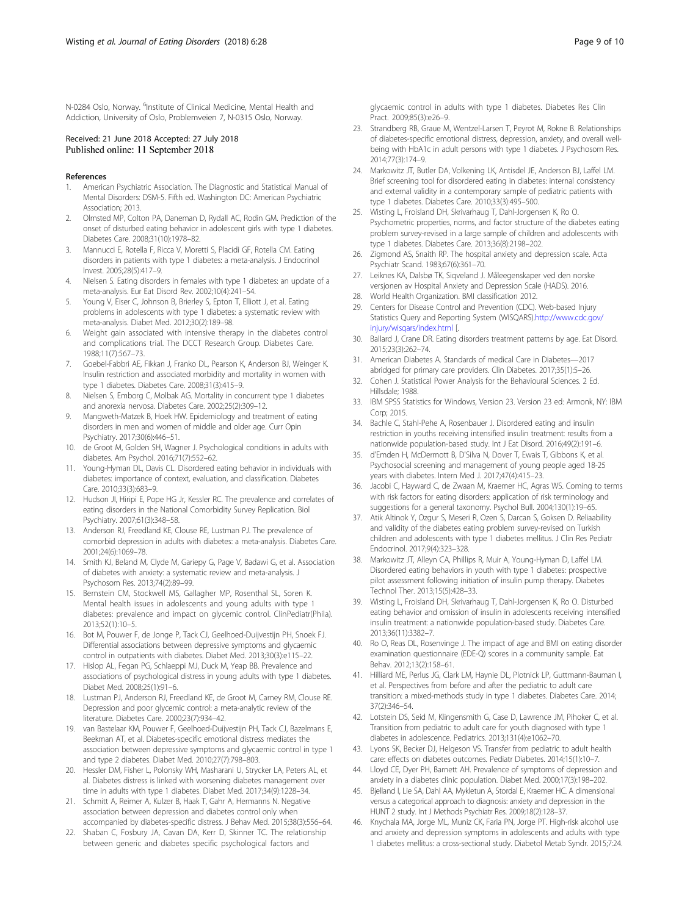<span id="page-8-0"></span>N-0284 Oslo, Norway. <sup>6</sup>Institute of Clinical Medicine, Mental Health and Addiction, University of Oslo, Problemveien 7, N-0315 Oslo, Norway.

#### Received: 21 June 2018 Accepted: 27 July 2018 Published online: 11 September 2018

#### References

- 1. American Psychiatric Association. The Diagnostic and Statistical Manual of Mental Disorders: DSM-5. Fifth ed. Washington DC: American Psychiatric Association; 2013.
- 2. Olmsted MP, Colton PA, Daneman D, Rydall AC, Rodin GM. Prediction of the onset of disturbed eating behavior in adolescent girls with type 1 diabetes. Diabetes Care. 2008;31(10):1978–82.
- 3. Mannucci E, Rotella F, Ricca V, Moretti S, Placidi GF, Rotella CM. Eating disorders in patients with type 1 diabetes: a meta-analysis. J Endocrinol Invest. 2005;28(5):417–9.
- 4. Nielsen S. Eating disorders in females with type 1 diabetes: an update of a meta-analysis. Eur Eat Disord Rev. 2002;10(4):241–54.
- 5. Young V, Eiser C, Johnson B, Brierley S, Epton T, Elliott J, et al. Eating problems in adolescents with type 1 diabetes: a systematic review with meta-analysis. Diabet Med. 2012;30(2):189–98.
- 6. Weight gain associated with intensive therapy in the diabetes control and complications trial. The DCCT Research Group. Diabetes Care. 1988;11(7):567–73.
- 7. Goebel-Fabbri AE, Fikkan J, Franko DL, Pearson K, Anderson BJ, Weinger K. Insulin restriction and associated morbidity and mortality in women with type 1 diabetes. Diabetes Care. 2008;31(3):415–9.
- Nielsen S, Emborg C, Molbak AG. Mortality in concurrent type 1 diabetes and anorexia nervosa. Diabetes Care. 2002;25(2):309–12.
- 9. Mangweth-Matzek B, Hoek HW. Epidemiology and treatment of eating disorders in men and women of middle and older age. Curr Opin Psychiatry. 2017;30(6):446–51.
- 10. de Groot M, Golden SH, Wagner J. Psychological conditions in adults with diabetes. Am Psychol. 2016;71(7):552–62.
- 11. Young-Hyman DL, Davis CL. Disordered eating behavior in individuals with diabetes: importance of context, evaluation, and classification. Diabetes Care. 2010;33(3):683–9.
- 12. Hudson JI, Hiripi E, Pope HG Jr, Kessler RC. The prevalence and correlates of eating disorders in the National Comorbidity Survey Replication. Biol Psychiatry. 2007;61(3):348–58.
- 13. Anderson RJ, Freedland KE, Clouse RE, Lustman PJ. The prevalence of comorbid depression in adults with diabetes: a meta-analysis. Diabetes Care. 2001;24(6):1069–78.
- 14. Smith KJ, Beland M, Clyde M, Gariepy G, Page V, Badawi G, et al. Association of diabetes with anxiety: a systematic review and meta-analysis. J Psychosom Res. 2013;74(2):89–99.
- 15. Bernstein CM, Stockwell MS, Gallagher MP, Rosenthal SL, Soren K. Mental health issues in adolescents and young adults with type 1 diabetes: prevalence and impact on glycemic control. ClinPediatr(Phila). 2013;52(1):10–5.
- 16. Bot M, Pouwer F, de Jonge P, Tack CJ, Geelhoed-Duijvestijn PH, Snoek FJ. Differential associations between depressive symptoms and glycaemic control in outpatients with diabetes. Diabet Med. 2013;30(3):e115–22.
- 17. Hislop AL, Fegan PG, Schlaeppi MJ, Duck M, Yeap BB. Prevalence and associations of psychological distress in young adults with type 1 diabetes. Diabet Med. 2008;25(1):91–6.
- 18. Lustman PJ, Anderson RJ, Freedland KE, de Groot M, Carney RM, Clouse RE. Depression and poor glycemic control: a meta-analytic review of the literature. Diabetes Care. 2000;23(7):934–42.
- 19. van Bastelaar KM, Pouwer F, Geelhoed-Duijvestijn PH, Tack CJ, Bazelmans E, Beekman AT, et al. Diabetes-specific emotional distress mediates the association between depressive symptoms and glycaemic control in type 1 and type 2 diabetes. Diabet Med. 2010;27(7):798–803.
- 20. Hessler DM, Fisher L, Polonsky WH, Masharani U, Strycker LA, Peters AL, et al. Diabetes distress is linked with worsening diabetes management over time in adults with type 1 diabetes. Diabet Med. 2017;34(9):1228–34.
- 21. Schmitt A, Reimer A, Kulzer B, Haak T, Gahr A, Hermanns N. Negative association between depression and diabetes control only when accompanied by diabetes-specific distress. J Behav Med. 2015;38(3):556–64.
- 22. Shaban C, Fosbury JA, Cavan DA, Kerr D, Skinner TC. The relationship between generic and diabetes specific psychological factors and

glycaemic control in adults with type 1 diabetes. Diabetes Res Clin Pract. 2009;85(3):e26–9.

- 23. Strandberg RB, Graue M, Wentzel-Larsen T, Peyrot M, Rokne B. Relationships of diabetes-specific emotional distress, depression, anxiety, and overall wellbeing with HbA1c in adult persons with type 1 diabetes. J Psychosom Res. 2014;77(3):174–9.
- 24. Markowitz JT, Butler DA, Volkening LK, Antisdel JE, Anderson BJ, Laffel LM. Brief screening tool for disordered eating in diabetes: internal consistency and external validity in a contemporary sample of pediatric patients with type 1 diabetes. Diabetes Care. 2010;33(3):495–500.
- 25. Wisting L, Froisland DH, Skrivarhaug T, Dahl-Jorgensen K, Ro O. Psychometric properties, norms, and factor structure of the diabetes eating problem survey-revised in a large sample of children and adolescents with type 1 diabetes. Diabetes Care. 2013;36(8):2198–202.
- 26. Zigmond AS, Snaith RP. The hospital anxiety and depression scale. Acta Psychiatr Scand. 1983;67(6):361–70.
- 27. Leiknes KA, Dalsbø TK, Siqveland J. Måleegenskaper ved den norske versjonen av Hospital Anxiety and Depression Scale (HADS). 2016.
- 28. World Health Organization. BMI classification 2012.
- 29. Centers for Disease Control and Prevention (CDC). Web-based Injury Statistics Query and Reporting System (WISQARS).[http://www.cdc.gov/](http://www.cdc.gov/injury/wisqars/index.html) [injury/wisqars/index.html](http://www.cdc.gov/injury/wisqars/index.html) [.
- 30. Ballard J, Crane DR. Eating disorders treatment patterns by age. Eat Disord. 2015;23(3):262–74.
- 31. American Diabetes A. Standards of medical Care in Diabetes—2017 abridged for primary care providers. Clin Diabetes. 2017;35(1):5–26.
- 32. Cohen J. Statistical Power Analysis for the Behavioural Sciences. 2 Ed. Hillsdale; 1988.
- 33. IBM SPSS Statistics for Windows, Version 23. Version 23 ed: Armonk, NY: IBM Corp; 2015.
- 34. Bachle C, Stahl-Pehe A, Rosenbauer J. Disordered eating and insulin restriction in youths receiving intensified insulin treatment: results from a nationwide population-based study. Int J Eat Disord. 2016;49(2):191–6.
- 35. d'Emden H, McDermott B, D'Silva N, Dover T, Ewais T, Gibbons K, et al. Psychosocial screening and management of young people aged 18-25 years with diabetes. Intern Med J. 2017;47(4):415–23.
- 36. Jacobi C, Hayward C, de Zwaan M, Kraemer HC, Agras WS. Coming to terms with risk factors for eating disorders: application of risk terminology and suggestions for a general taxonomy. Psychol Bull. 2004;130(1):19–65.
- 37. Atik Altinok Y, Ozgur S, Meseri R, Ozen S, Darcan S, Goksen D. Reliaability and validity of the diabetes eating problem survey-revised on Turkish children and adolescents with type 1 diabetes mellitus. J Clin Res Pediatr Endocrinol. 2017;9(4):323–328.
- 38. Markowitz JT, Alleyn CA, Phillips R, Muir A, Young-Hyman D, Laffel LM. Disordered eating behaviors in youth with type 1 diabetes: prospective pilot assessment following initiation of insulin pump therapy. Diabetes Technol Ther. 2013;15(5):428–33.
- 39. Wisting L, Froisland DH, Skrivarhaug T, Dahl-Jorgensen K, Ro O. Disturbed eating behavior and omission of insulin in adolescents receiving intensified insulin treatment: a nationwide population-based study. Diabetes Care. 2013;36(11):3382–7.
- 40. Ro O, Reas DL, Rosenvinge J. The impact of age and BMI on eating disorder examination questionnaire (EDE-Q) scores in a community sample. Eat Behav. 2012;13(2):158–61.
- 41. Hilliard ME, Perlus JG, Clark LM, Haynie DL, Plotnick LP, Guttmann-Bauman I, et al. Perspectives from before and after the pediatric to adult care transition: a mixed-methods study in type 1 diabetes. Diabetes Care. 2014; 37(2):346–54.
- 42. Lotstein DS, Seid M, Klingensmith G, Case D, Lawrence JM, Pihoker C, et al. Transition from pediatric to adult care for youth diagnosed with type 1 diabetes in adolescence. Pediatrics. 2013;131(4):e1062–70.
- 43. Lyons SK, Becker DJ, Helgeson VS. Transfer from pediatric to adult health care: effects on diabetes outcomes. Pediatr Diabetes. 2014;15(1):10–7.
- 44. Lloyd CE, Dyer PH, Barnett AH. Prevalence of symptoms of depression and anxiety in a diabetes clinic population. Diabet Med. 2000;17(3):198–202.
- 45. Bjelland I, Lie SA, Dahl AA, Mykletun A, Stordal E, Kraemer HC. A dimensional versus a categorical approach to diagnosis: anxiety and depression in the HUNT 2 study. Int J Methods Psychiatr Res. 2009;18(2):128–37.
- 46. Knychala MA, Jorge ML, Muniz CK, Faria PN, Jorge PT. High-risk alcohol use and anxiety and depression symptoms in adolescents and adults with type 1 diabetes mellitus: a cross-sectional study. Diabetol Metab Syndr. 2015;7:24.